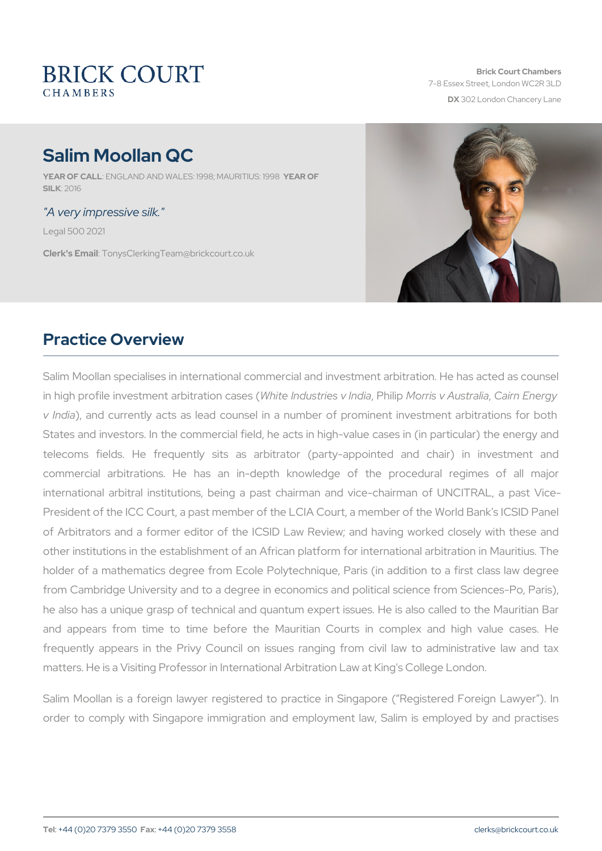# Salim Moollan QC

YEAR OF CALNUGLAND AND WALES: 1998; MAAURICTFUS: 1998 SILK: 2016

#### "A very impressive silk."

Legal 500 2021

Clerk's EmanilysClerkingTeam@brickcourt.co.uk

# Practice Overview

Salim Moollan specialises in international commercial and investment in high profile investment alw bitreatino chusters is esse hyli Minopolnias v Au Grania hia Energy v Indiaand currently acts as lead counsel in a number of prominen States and investors. In the commercial field, he acts in high-value telecoms fields. He frequently sits as arbitrator (party-appoint commercial arbitrations. He has an in-depth knowledge of the international arbitral institutions, being a past chairman and vice-President of the ICC Court, a past member of the LCIA Court, a memb of Arbitrators and a former editor of the ICSID Law Review; and h other institutions in the establishment of an African platform for inte holder of a mathematics degree from Ecole Polytechnique, Paris (in from Cambridge University and to a degree in economics and political he also has a unique grasp of technical and quantum expert issues. and appears from time to time before the Mauritian Courts in frequently appears in the Privy Council on issues ranging from c matters. He is a Visiting Professor in International Arbitration Law at

Salim Moollan is a foreign lawyer registered to practice in Singape order to comply with Singapore immigration and employment law, S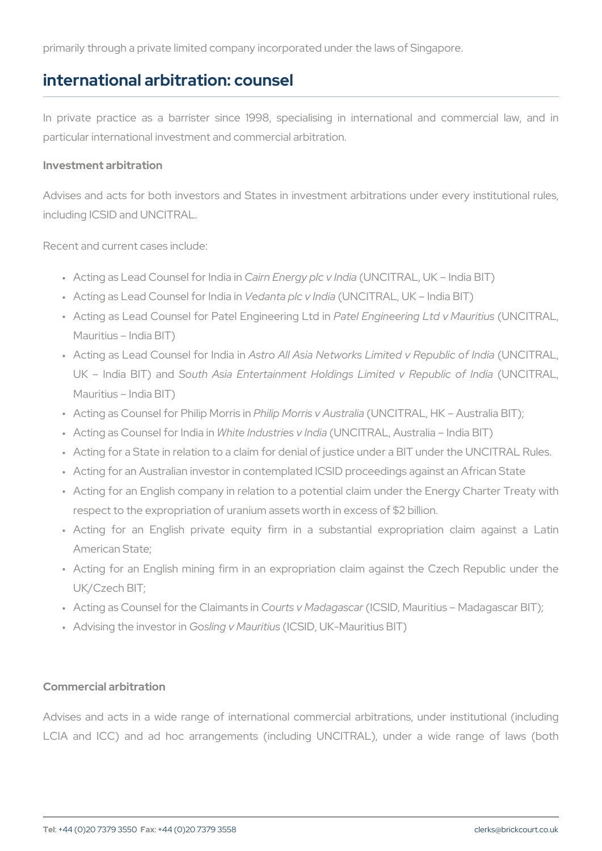primarily through a private limited company incorporated under the law

#### international arbitration: counsel

In private practice as a barrister since 1998, specialising in in particular international investment and commercial arbitration.

Investment arbitration

Advises and acts for both investors and States in investment arbitrations including ICSID and UNCITRAL.

Recent and current cases include:

- " Acting as Lead Couns Clafon Emdeirag yin p (Ib N C In T and I all BIT)
- " Acting as Lead Counselle floam it a chiec in UnColl and L, UK India BIT)
- " A cting as Lead Counsel for Pate**PaEnegiEiegrinnegerLiniog iL**ntd(UNN**CINTRIAL**Lu, s Mauritius India BIT)
- " Acting as Lead CounseAlstfroor AhlloliAasia Networks Limited(UNRCelpTuRbAlLc, UK India BSITuthan Adsia Entertainment Holdings Limi (tuend CVT Republic of India BSITUth And Sia Entertainment Mauritius India BIT)
- " Acting as Counsel for PPhiilliip Momorris in (AUNsCitTaRAL, HK Australia B
- " Acting as Counsel Wiohnitlen diniadui strie (sU M CI h Td RaA L, Australia India BIT)
- " Acting for a State in relation to a claim for denial of justice under
- " Acting for an Australian investor in contemplated ICSID proceedin
- " Acting for an English company in relation to a potential claim und respect to the expropriation of uranium assets worth in excess of
- " Acting for an English private equity firm in a substantial American State;
- " Acting for an English mining firm in an expropriation claim aga UK/Czech BIT;
- " Acting as Counsel for thGeo Cirlasinva Mitasdia(g) 6: Sod Dor, Mauritius Madagasc
- " Advising the inGestor gin Maduci SiluDs, UK-Mauritius BIT)

Commercial arbitration

Advises and acts in a wide range of international commercial arbit LCIA and ICC) and ad hoc arrangements (including UNCITRAL),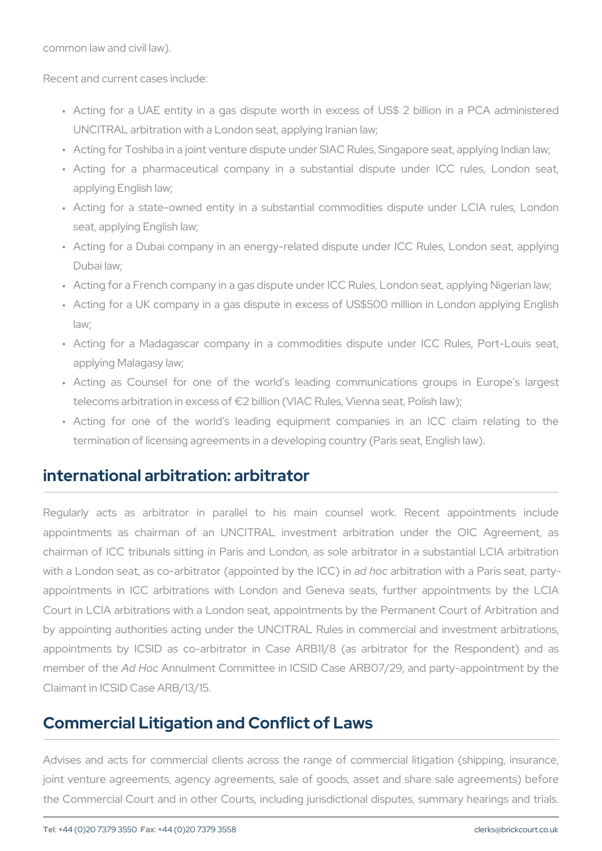common law and civil law).

Recent and current cases include:

- " Acting for a UAE entity in a gas dispute worth in excess of U UNCITRAL arbitration with a London seat, applying Iranian law;
- " Acting for Toshiba in a joint venture dispute under SIAC Rules, Si
- " Acting for a pharmaceutical company in a substantial disput applying English law;
- " Acting for a state-owned entity in a substantial commodities d seat, applying English law;
- " Acting for a Dubai company in an energy-related dispute under I Dubai law;
- " Acting for a French company in a gas dispute under ICC Rules, Lo
- " Acting for a UK company in a gas dispute in excess of US\$500 m law;
- " Acting for a Madagascar company in a commodities dispute ur applying Malagasy law;
- " Acting as Counsel for one of the world s leading communications telecoms arbitration in excess of  $\neg$ 2 billion (VIAC Rules, Vienna seater, Political Law)
- " Acting for one of the world s leading equipment companies termination of licensing agreements in a developing country (Paris

#### international arbitration: arbitrator

Regularly acts as arbitrator in parallel to his main counse appointments as chairman of an UNCITRAL investment arbitration chairman of ICC tribunals sitting in Paris and London, as sole arbit with a London seat, as co-arbitrator (appoint of the Withe With  $\hat{C}$ ) ain Paris seat, partyappointments in ICC arbitrations with London and Geneva seats, Court in LCIA arbitrations with a London seat, appointments by the by appointing authorities acting under the UNCITRAL Rules in comm appointments by ICSID as co-arbitrator in Case ARB11/8 (as arb member of A dhe I o Achnulment Committee in ICSID Case ARB07/29, and p Claimant in ICSID Case ARB/13/15.

# Commercial Litigation and Conflict of Laws

Advises and acts for commercial clients across the range of comm joint venture agreements, agency agreements, sale of goods, asset the Commercial Court and in other Courts, including jurisdictional d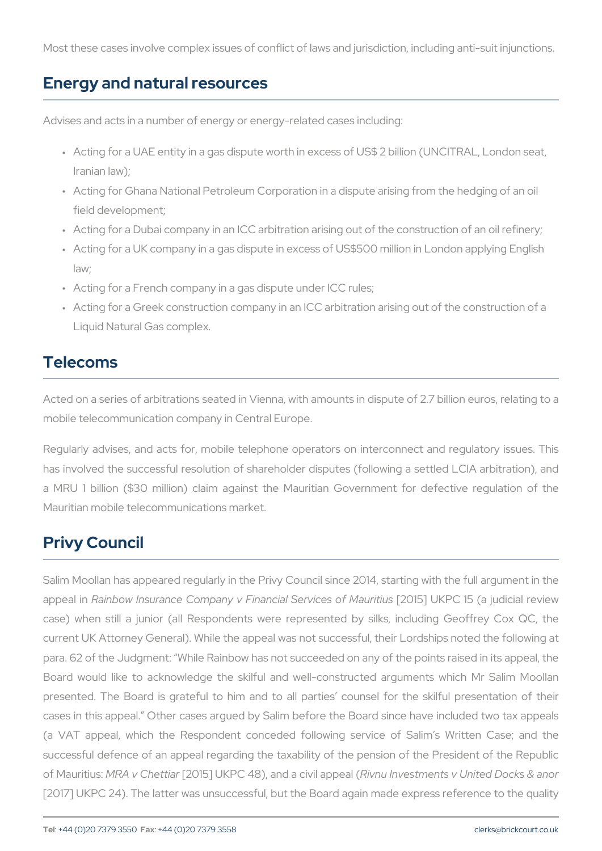Most these cases involve complex issues of conflict of laws and jurisd

#### Energy and natural resources

Advises and acts in a number of energy or energy-related cases includ

- " Acting for a UAE entity in a gas dispute worth in excess of US\$ 2 Iranian law);
- " Acting for Ghana National Petroleum Corporation in a dispute arisi field development;
- " Acting for a Dubai company in an ICC arbitration arising out of the
- " Acting for a UK company in a gas dispute in excess of US\$500 mill law;
- " Acting for a French company in a gas dispute under ICC rules;
- " Acting for a Greek construction company in an ICC arbitration aris Liquid Natural Gas complex.

#### Telecoms

Acted on a series of arbitrations seated in Vienna, with amounts in di mobile telecommunication company in Central Europe.

Regularly advises, and acts for, mobile telephone operators on inte has involved the successful resolution of shareholder disputes (follo a MRU 1 billion (\$30 million) claim against the Mauritian Govern Mauritian mobile telecommunications market.

## Privy Council

Salim Moollan has appeared regularly in the Privy Council since 2014 appeal Raninbow Insurance Company v Financia 2036 iv UcKe R Coff 5M a aurituiduisc case) when still a junior (all Respondents were represented by s current UK Attorney General). While the appeal was not successful, the para. 62 of the Judgment: While Rainbow has not succeeded on any of Board would like to acknowledge the skilful and well-constructed presented. The Board is grateful to him and to all parties couns cases in this appeal. Other cases argued by Salim before the Board (a VAT appeal, which the Respondent conceded following service successful defence of an appeal regarding the taxability of the pens of MauriMiRas: v Che[200415] UKPC 48), and Raivcnivuill ravoepset and e(nts v United Do [2017] UKPC 24). The latter was unsuccessful, but the Board again m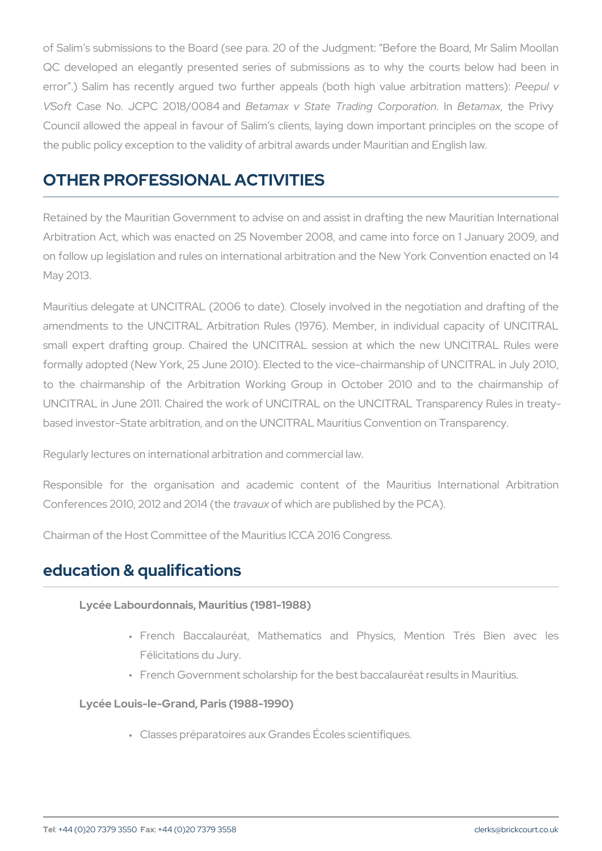of Salim s submissions to the Board (see para. 20 of the Judgment: QC developed an elegantly presented series of submissions as to error .) Salim has recently argued two further appeals (Poeoethulhigh V Soft Case No. JCPC 201B8e/10a0m84 x and State Trading IBMG ban pagamathe bon Privy Council allowed the appeal in favour of Salim s clients, laying down the public policy exception to the validity of arbitral awards under Ma

# OTHER PROFESSIONAL ACTIVITIES

Retained by the Mauritian Government to advise on and assist in dra Arbitration Act, which was enacted on 25 November 2008, and came on follow up legislation and rules on international arbitration and the May 2013.

Mauritius delegate at UNCITRAL (2006 to date). Closely involved in amendments to the UNCITRAL Arbitration Rules (1976). Member, in small expert drafting group. Chaired the UNCITRAL session at wh formally adopted (New York, 25 June 2010). Elected to the vice-chair to the chairmanship of the Arbitration Working Group in October UNCITRAL in June 2011. Chaired the work of UNCITRAL on the UNCIT based investor-State arbitration, and on the UNCITRAL Mauritius Conv

Regularly lectures on international arbitration and commercial law.

Responsible for the organisation and academic content of the Conferences 2010, 2012 taanda 2014 1wh (the are published by the PCA).

Chairman of the Host Committee of the Mauritius ICCA 2016 Congress.

#### education & qualifications

Lycée Labourdonnais, Mauritius (1981-1988)

- " French Baccalauréat, Mathematics and Physics, Me Félicitations du Jury.
- " French Government scholarship for the best baccalauréat

Lycée Louis-le-Grand, Paris (1988-1990)

" Classes préparatoires aux Grandes Écoles scientifiques.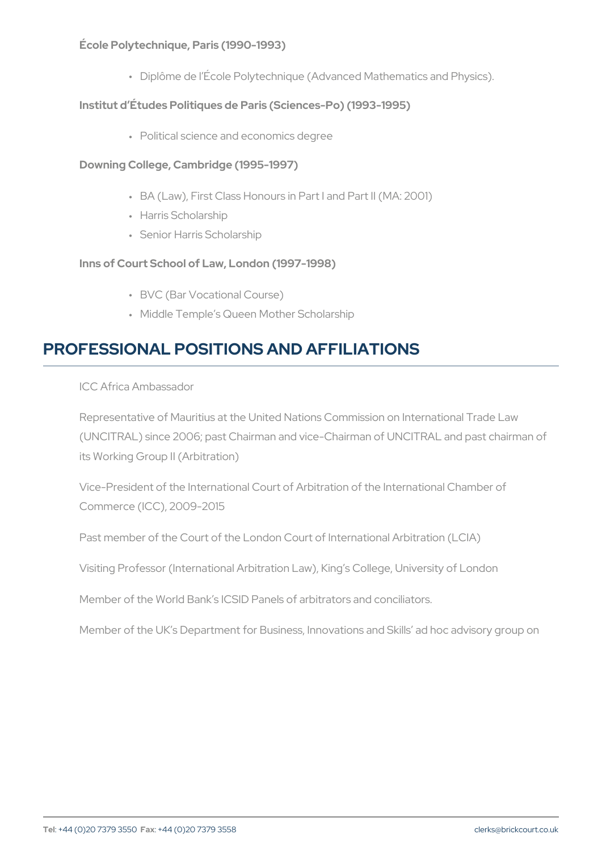École Polytechnique, Paris (1990-1993)

" Diplôme de I École Polytechnique (Advanced Mathematics Institut d Études Politiques de Paris (Sciences-Po) (1993-1995)

" Political science and economics degree

DowninGollege, Cambridge (1995-1997)

" BA (Law), First Class Honours in Part I and Part II (MA: 2

" Harris Scholarship

" Senior Harris Scholarship

Inns of Court School of Law, London (1997-1998)

" BVC (Bar Vocational Course)

" Middle Temple s Queen Mother Scholarship

# PROFESSIONAL POSITIONS AND AFFILIATIONS

ICC Africa Ambassador

Representative of Mauritius at the United Nations Commission on (UNCITRAL) since 2006; past Chairman and vice-Chairman of UNC its Working Group II (Arbitration)

Vice-President of the International Court of Arbitration of the Inte Commerce (ICC), 2009-2015

Past member of the Court of the London Court of International Arbitration

Visiting Professor (International Arbitration Law), King s College,

Member of the World Bank s ICSID Panels of arbitrators and conci

Member of the UK s Department for Business, Innovations and Ski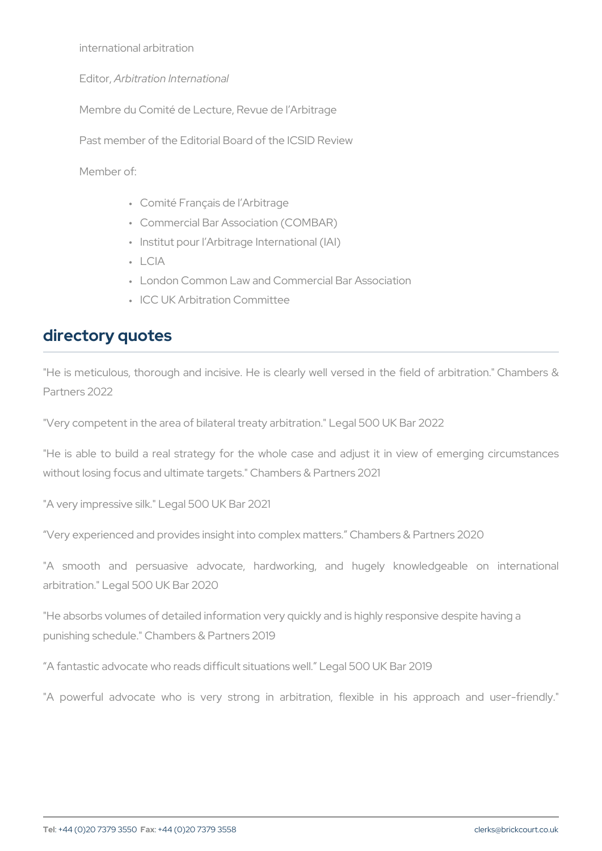international arbitration

EditoArr, bitration International

Membre du Comité de Lecture, Revue de l Arbitrage

Past member of the Editorial Board of the ICSID Review

Member of:

- " Comité Français de l Arbitrage
- " Commercial Bar Association (COMBAR)
- " Institut pour l Arbitrage International (IAI)
- " LCIA
- " London Common Law and Commercial Bar Association
- " ICC UK Arbitration Committee

#### directory quotes

"He is meticulous, thorough and incisive. He is clearly well versed Partners 2022

"Very competent in the area of bilateral treaty arbitration." Legal 500

"He is able to build a real strategy for the whole case and adjust without losing focus and ultimate targets." Chambers & Partners 2021

"A very impressive silk." Legal 500 UK Bar 2021

Very experienced and provides insight into complex matters. Chambe

"A smooth and persuasive advocate, hardworking, and huge arbitration." Legal 500 UK Bar 2020

"He absorbs volumes of detailed information very quickly and is highly punishing schedule." Chambers & Partners 2019

A fantastic advocate who reads difficult situations well. Legal 500 U

"A powerful advocate who is very strong in arbitration, flexible